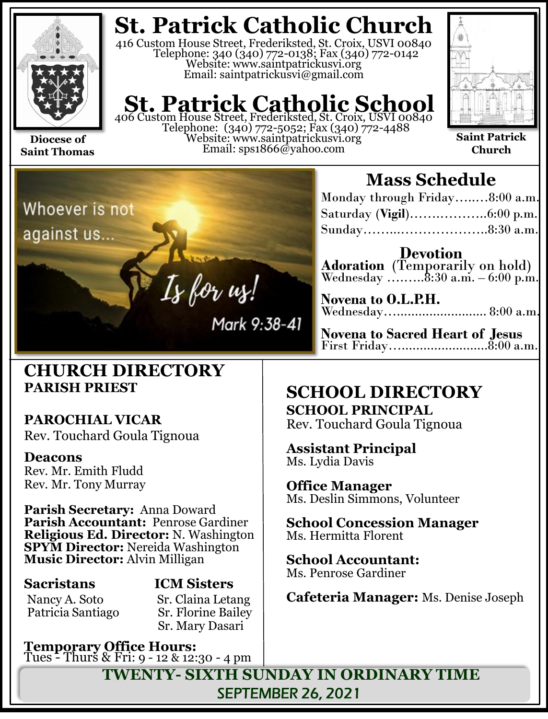

**Saint Thomas**

# **St. Patrick Catholic Church**

416 Custom House Street, Frederiksted, St. Croix, USVI 00840 Telephone: 340 (340) 772-0138; Fax (340) 772-0142 Website: www.saintpatrickusvi.org Email: saintpatrickusvi@gmail.com

# **St. Patrick Catholic School**<br>406 Custom House Street, Frederiksted, St. Croix, USVI 00840

Telephone: (340) 772-5052; Fax (340) 772-4488 Website: www.saintpatrickusvi.org Email: sps1866@yahoo.com



**Saint Patrick Church**



## **CHURCH DIRECTORY PARISH PRIEST**

## **PAROCHIAL VICAR**

Rev. Touchard Goula Tignoua

### **Deacons**

Rev. Mr. Emith Fludd Rev. Mr. Tony Murray

**Parish Secretary:** Anna Doward **Parish Accountant:** Penrose Gardiner **Religious Ed. Director:** N. Washington **SPYM Director:** Nereida Washington **Music Director:** Alvin Milligan

**Sacristans ICM Sisters** Nancy A. Soto Sr. Claina Letang Patricia Santiago Sr. Florine Bailey Sr. Mary Dasari

**Temporary Office Hours:**  Tues - Thurs & Fri: 9 - 12 & 12:30 - 4 pm

# **Mass Schedule**

| Monday through Friday8:00 a.m. |  |
|--------------------------------|--|
|                                |  |
|                                |  |

**Devotion Adoration** (Temporarily on hold) Wednesday ….......8:30 a.m. – 6:00 p.m.

**Novena to O.L.P.H.** Wednesday…......................... 8:00 a.m.

**Novena to Sacred Heart of Jesus** First Friday…........................8:00 a.m.

# **SCHOOL DIRECTORY**

**SCHOOL PRINCIPAL** Rev. Touchard Goula Tignoua

**Assistant Principal** Ms. Lydia Davis

**Office Manager** Ms. Deslin Simmons, Volunteer

**School Concession Manager** Ms. Hermitta Florent

**School Accountant:**  Ms. Penrose Gardiner

**Cafeteria Manager:** Ms. Denise Joseph

**TWENTY- SIXTH SUNDAY IN ORDINARY TIME** SEPTEMBER 26, 2021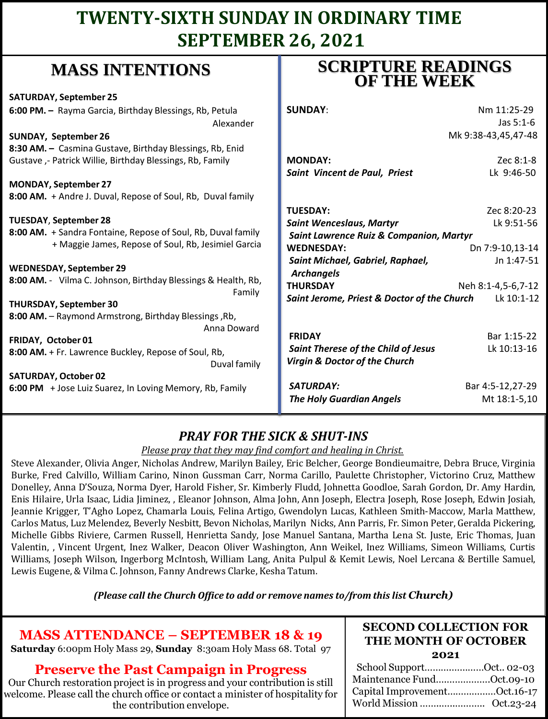# **TWENTY-SIXTH SUNDAY IN ORDINARY TIME SEPTEMBER 26, 2021**

# **MASS INTENTIONS**

| when hit had the control                                                                        | <b>OF THE WEEK</b>                                        |  |  |
|-------------------------------------------------------------------------------------------------|-----------------------------------------------------------|--|--|
| <b>SATURDAY, September 25</b>                                                                   |                                                           |  |  |
| 6:00 PM. - Rayma Garcia, Birthday Blessings, Rb, Petula                                         | <b>SUNDAY:</b><br>Nm 11:25-29                             |  |  |
| Alexander                                                                                       | Jas $5:1-6$                                               |  |  |
| <b>SUNDAY, September 26</b>                                                                     | Mk 9:38-43,45,47-48                                       |  |  |
| 8:30 AM. - Casmina Gustave, Birthday Blessings, Rb, Enid                                        |                                                           |  |  |
| Gustave, - Patrick Willie, Birthday Blessings, Rb, Family                                       | <b>MONDAY:</b><br>Zec 8:1-8                               |  |  |
|                                                                                                 | Lk 9:46-50<br>Saint Vincent de Paul, Priest               |  |  |
| <b>MONDAY, September 27</b>                                                                     |                                                           |  |  |
| 8:00 AM. + Andre J. Duval, Repose of Soul, Rb, Duval family                                     |                                                           |  |  |
|                                                                                                 | <b>TUESDAY:</b><br>Zec 8:20-23                            |  |  |
| <b>TUESDAY, September 28</b>                                                                    | Lk 9:51-56<br><b>Saint Wenceslaus, Martyr</b>             |  |  |
| 8:00 AM. + Sandra Fontaine, Repose of Soul, Rb, Duval family                                    | Saint Lawrence Ruiz & Companion, Martyr                   |  |  |
| + Maggie James, Repose of Soul, Rb, Jesimiel Garcia                                             | <b>WEDNESDAY:</b><br>Dn 7:9-10,13-14                      |  |  |
|                                                                                                 | Saint Michael, Gabriel, Raphael,<br>Jn 1:47-51            |  |  |
| <b>WEDNESDAY, September 29</b><br>8:00 AM. - Vilma C. Johnson, Birthday Blessings & Health, Rb, | <b>Archangels</b>                                         |  |  |
| Family                                                                                          | <b>THURSDAY</b><br>Neh 8:1-4,5-6,7-12                     |  |  |
| <b>THURSDAY, September 30</b>                                                                   | Saint Jerome, Priest & Doctor of the Church<br>Lk 10:1-12 |  |  |
| 8:00 AM. - Raymond Armstrong, Birthday Blessings, Rb,                                           |                                                           |  |  |
| Anna Doward                                                                                     |                                                           |  |  |
| FRIDAY, October 01                                                                              | Bar 1:15-22<br><b>FRIDAY</b>                              |  |  |
| 8:00 AM. + Fr. Lawrence Buckley, Repose of Soul, Rb,                                            | Saint Therese of the Child of Jesus<br>Lk 10:13-16        |  |  |
| Duval family                                                                                    | Virgin & Doctor of the Church                             |  |  |
| <b>SATURDAY, October 02</b>                                                                     |                                                           |  |  |
| 6:00 PM + Jose Luiz Suarez, In Loving Memory, Rb, Family                                        | <b>SATURDAY:</b><br>Bar 4:5-12,27-29                      |  |  |
|                                                                                                 | <b>The Holy Guardian Angels</b><br>Mt 18:1-5,10           |  |  |
|                                                                                                 |                                                           |  |  |

### *PRAY FOR THE SICK & SHUT-INS*

#### *Please pray that they may find comfort and healing in Christ.*

Steve Alexander, Olivia Anger, Nicholas Andrew, Marilyn Bailey, Eric Belcher, George Bondieumaitre, Debra Bruce, Virginia Burke, Fred Calvillo, William Carino, Ninon Gussman Carr, Norma Carillo, Paulette Christopher, Victorino Cruz, Matthew Donelley, Anna D'Souza, Norma Dyer, Harold Fisher, Sr. Kimberly Fludd, Johnetta Goodloe, Sarah Gordon, Dr. Amy Hardin, Enis Hilaire, Urla Isaac, Lidia Jiminez, , Eleanor Johnson, Alma John, Ann Joseph, Electra Joseph, Rose Joseph, Edwin Josiah, Jeannie Krigger, T'Agho Lopez, Chamarla Louis, Felina Artigo, Gwendolyn Lucas, Kathleen Smith-Maccow, Marla Matthew, Carlos Matus, Luz Melendez, Beverly Nesbitt, Bevon Nicholas, Marilyn Nicks, Ann Parris, Fr. Simon Peter, Geralda Pickering, Michelle Gibbs Riviere, Carmen Russell, Henrietta Sandy, Jose Manuel Santana, Martha Lena St. Juste, Eric Thomas, Juan Valentin, , Vincent Urgent, Inez Walker, Deacon Oliver Washington, Ann Weikel, Inez Williams, Simeon Williams, Curtis Williams, Joseph Wilson, Ingerborg McIntosh, William Lang, Anita Pulpul & Kemit Lewis, Noel Lercana & Bertille Samuel, Lewis Eugene, & Vilma C. Johnson, Fanny Andrews Clarke, Kesha Tatum.

#### *(Please call the Church Office to add or remove names to/from this list Church)*

## **MASS ATTENDANCE – SEPTEMBER 18 & 19**

**Saturday** 6:00pm Holy Mass 29, **Sunday** 8:30am Holy Mass 68. Total 97

### **Preserve the Past Campaign in Progress**

Our Church restoration project is in progress and your contribution is still welcome. Please call the church office or contact a minister of hospitality for the contribution envelope.

#### **SECOND COLLECTION FOR THE MONTH OF OCTOBER 2021**

**SCRIPTURE READINGS** 

| School SupportOct 02-03      |  |
|------------------------------|--|
| Maintenance FundOct.09-10    |  |
| Capital ImprovementOct.16-17 |  |
|                              |  |
|                              |  |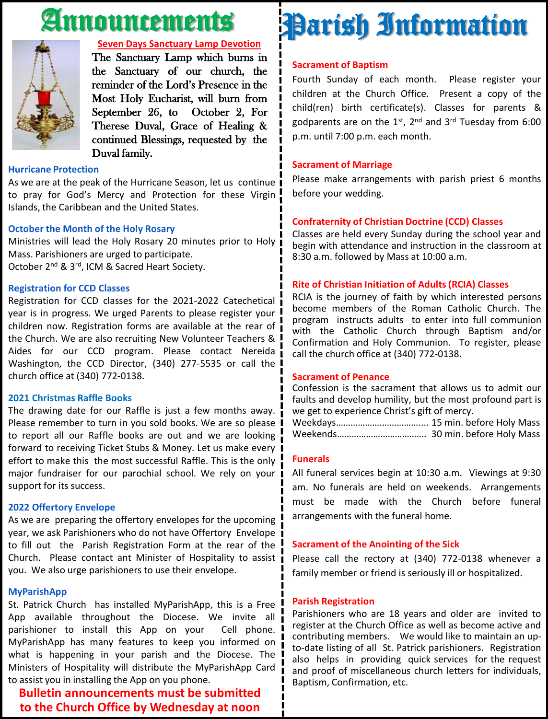# Announcements



#### **Seven Days Sanctuary Lamp Devotion**

The Sanctuary Lamp which burns in the Sanctuary of our church, the reminder of the Lord's Presence in the Most Holy Eucharist, will burn from September 26, to October 2, For Therese Duval, Grace of Healing & continued Blessings, requested by the Duval family.

#### **Hurricane Protection**

As we are at the peak of the Hurricane Season, let us continue to pray for God's Mercy and Protection for these Virgin Islands, the Caribbean and the United States.

#### **October the Month of the Holy Rosary**

Ministries will lead the Holy Rosary 20 minutes prior to Holy Mass. Parishioners are urged to participate. October 2<sup>nd</sup> & 3<sup>rd</sup>, ICM & Sacred Heart Society.

#### **Registration for CCD Classes**

Registration for CCD classes for the 2021-2022 Catechetical year is in progress. We urged Parents to please register your children now. Registration forms are available at the rear of the Church. We are also recruiting New Volunteer Teachers & Aides for our CCD program. Please contact Nereida Washington, the CCD Director, (340) 277-5535 or call the church office at (340) 772-0138.

#### **2021 Christmas Raffle Books**

The drawing date for our Raffle is just a few months away. Please remember to turn in you sold books. We are so please I to report all our Raffle books are out and we are looking forward to receiving Ticket Stubs & Money. Let us make every I effort to make this the most successful Raffle. This is the only major fundraiser for our parochial school. We rely on your support for its success.

#### **2022 Offertory Envelope**

As we are preparing the offertory envelopes for the upcoming year, we ask Parishioners who do not have Offertory Envelope to fill out the Parish Registration Form at the rear of the Church. Please contact ant Minister of Hospitality to assist you. We also urge parishioners to use their envelope.

#### **MyParishApp**

St. Patrick Church has installed MyParishApp, this is a Free App available throughout the Diocese. We invite all parishioner to install this App on your Cell phone. MyParishApp has many features to keep you informed on what is happening in your parish and the Diocese. The Ministers of Hospitality will distribute the MyParishApp Card to assist you in installing the App on you phone.

### **Bulletin announcements must be submitted to the Church Office by Wednesday at noon**

# Parish Information

#### **Sacrament of Baptism**

Fourth Sunday of each month. Please register your children at the Church Office. Present a copy of the child(ren) birth certificate(s). Classes for parents & godparents are on the 1st, 2<sup>nd</sup> and 3<sup>rd</sup> Tuesday from 6:00 p.m. until 7:00 p.m. each month.

#### **Sacrament of Marriage**

Please make arrangements with parish priest 6 months before your wedding.

#### **Confraternity of Christian Doctrine (CCD) Classes**

Classes are held every Sunday during the school year and begin with attendance and instruction in the classroom at 8:30 a.m. followed by Mass at 10:00 a.m.

#### **Rite of Christian Initiation of Adults (RCIA) Classes**

RCIA is the journey of faith by which interested persons become members of the Roman Catholic Church. The program instructs adults to enter into full communion with the Catholic Church through Baptism and/or Confirmation and Holy Communion. To register, please call the church office at (340) 772-0138.

#### **Sacrament of Penance**

Confession is the sacrament that allows us to admit our faults and develop humility, but the most profound part is we get to experience Christ's gift of mercy.

Weekdays……………….…………….... 15 min. before Holy Mass Weekends………………………………. 30 min. before Holy Mass

#### **Funerals**

All funeral services begin at 10:30 a.m. Viewings at 9:30 am. No funerals are held on weekends. Arrangements must be made with the Church before funeral arrangements with the funeral home.

#### **Sacrament of the Anointing of the Sick**

Please call the rectory at (340) 772-0138 whenever a family member or friend is seriously ill or hospitalized.

#### **Parish Registration**

Parishioners who are 18 years and older are invited to register at the Church Office as well as become active and contributing members. We would like to maintain an upto-date listing of all St. Patrick parishioners. Registration also helps in providing quick services for the request and proof of miscellaneous church letters for individuals, Baptism, Confirmation, etc.